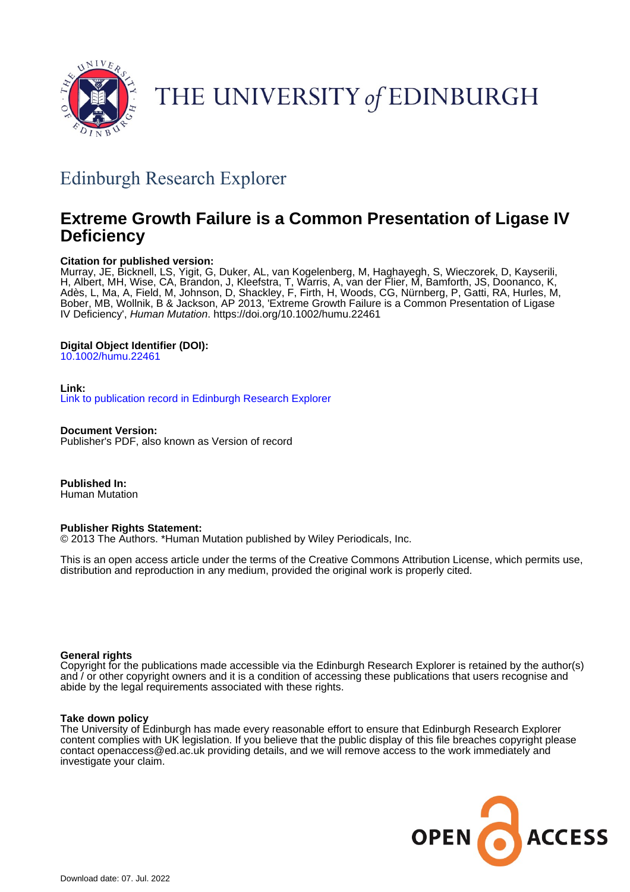

# THE UNIVERSITY of EDINBURGH

# Edinburgh Research Explorer

# **Extreme Growth Failure is a Common Presentation of Ligase IV Deficiency**

# **Citation for published version:**

Murray, JE, Bicknell, LS, Yigit, G, Duker, AL, van Kogelenberg, M, Haghayegh, S, Wieczorek, D, Kayserili, H, Albert, MH, Wise, CA, Brandon, J, Kleefstra, T, Warris, A, van der Flier, M, Bamforth, JS, Doonanco, K, Adès, L, Ma, A, Field, M, Johnson, D, Shackley, F, Firth, H, Woods, CG, Nürnberg, P, Gatti, RA, Hurles, M, Bober, MB, Wollnik, B & Jackson, AP 2013, 'Extreme Growth Failure is a Common Presentation of Ligase IV Deficiency', Human Mutation. <https://doi.org/10.1002/humu.22461>

# **Digital Object Identifier (DOI):**

[10.1002/humu.22461](https://doi.org/10.1002/humu.22461)

# **Link:**

[Link to publication record in Edinburgh Research Explorer](https://www.research.ed.ac.uk/en/publications/182b7cc7-0266-438b-8325-7ab5ef181c83)

**Document Version:** Publisher's PDF, also known as Version of record

**Published In:** Human Mutation

# **Publisher Rights Statement:**

© 2013 The Authors. \*Human Mutation published by Wiley Periodicals, Inc.

This is an open access article under the terms of the Creative Commons Attribution License, which permits use, distribution and reproduction in any medium, provided the original work is properly cited.

# **General rights**

Copyright for the publications made accessible via the Edinburgh Research Explorer is retained by the author(s) and / or other copyright owners and it is a condition of accessing these publications that users recognise and abide by the legal requirements associated with these rights.

# **Take down policy**

The University of Edinburgh has made every reasonable effort to ensure that Edinburgh Research Explorer content complies with UK legislation. If you believe that the public display of this file breaches copyright please contact openaccess@ed.ac.uk providing details, and we will remove access to the work immediately and investigate your claim.

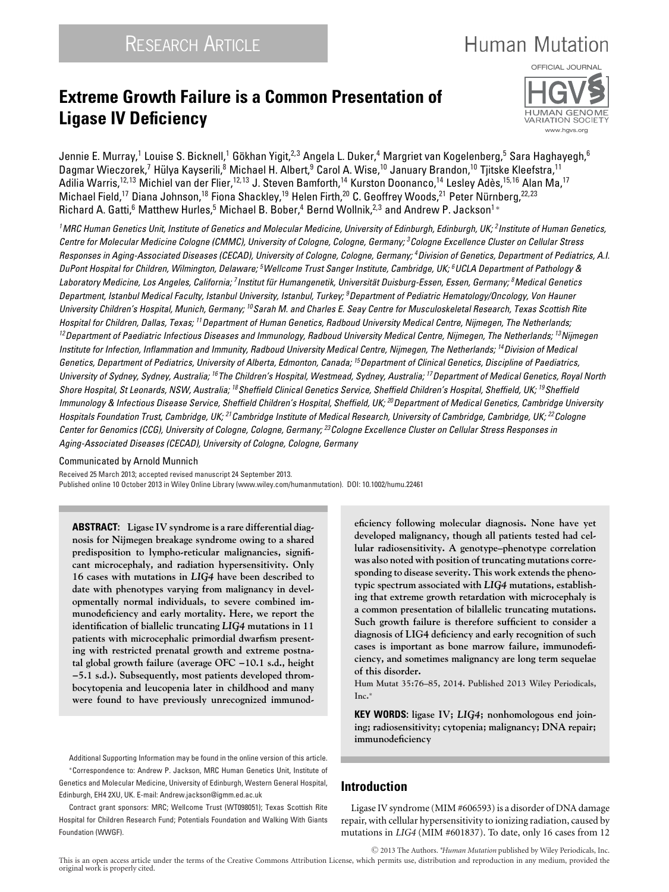# **Extreme Growth Failure is a Common Presentation of Ligase IV Deficiency**



**Human Mutation** 

Jennie E. Murray,<sup>1</sup> Louise S. Bicknell,<sup>1</sup> Gökhan Yigit,<sup>2,3</sup> Angela L. Duker,<sup>4</sup> Margriet van Kogelenberg,<sup>5</sup> Sara Haghayegh,<sup>6</sup> Dagmar Wieczorek,<sup>7</sup> Hülya Kayserili, <sup>8</sup> Michael H. Albert, <sup>9</sup> Carol A. Wise, <sup>10</sup> January Brandon, <sup>10</sup> Tjitske Kleefstra, <sup>11</sup> Adilia Warris,<sup>12,13</sup> Michiel van der Flier,<sup>12,13</sup> J. Steven Bamforth,<sup>14</sup> Kurston Doonanco,<sup>14</sup> Lesley Adès,<sup>15,16</sup> Alan Ma,<sup>17</sup> Michael Field,<sup>17</sup> Diana Johnson,<sup>18</sup> Fiona Shackley,<sup>19</sup> Helen Firth,<sup>20</sup> C. Geoffrey Woods,<sup>21</sup> Peter Nürnberg,<sup>22,23</sup> Richard A. Gatti,<sup>6</sup> Matthew Hurles,<sup>5</sup> Michael B. Bober,<sup>4</sup> Bernd Wollnik,<sup>2,3</sup> and Andrew P. Jackson<sup>1</sup> \*

*1MRC Human Genetics Unit, Institute of Genetics and Molecular Medicine, University of Edinburgh, Edinburgh, UK; 2Institute of Human Genetics, Centre for Molecular Medicine Cologne (CMMC), University of Cologne, Cologne, Germany; 3Cologne Excellence Cluster on Cellular Stress Responses in Aging-Associated Diseases (CECAD), University of Cologne, Cologne, Germany; 4Division of Genetics, Department of Pediatrics, A.I. DuPont Hospital for Children, Wilmington, Delaware; 5Wellcome Trust Sanger Institute, Cambridge, UK; 6UCLA Department of Pathology & Laboratory Medicine, Los Angeles, California; 7Institut fur Humangenetik, Universit ¨ at Duisburg-Essen, Essen, Germany; ¨ 8Medical Genetics Department, Istanbul Medical Faculty, Istanbul University, Istanbul, Turkey; 9Department of Pediatric Hematology/Oncology, Von Hauner University Children's Hospital, Munich, Germany; 10Sarah M. and Charles E. Seay Centre for Musculoskeletal Research, Texas Scottish Rite Hospital for Children, Dallas, Texas; 11Department of Human Genetics, Radboud University Medical Centre, Nijmegen, The Netherlands; 12Department of Paediatric Infectious Diseases and Immunology, Radboud University Medical Centre, Nijmegen, The Netherlands; 13Nijmegen Institute for Infection, Inflammation and Immunity, Radboud University Medical Centre, Nijmegen, The Netherlands; 14Division of Medical Genetics, Department of Pediatrics, University of Alberta, Edmonton, Canada; 15Department of Clinical Genetics, Discipline of Paediatrics, University of Sydney, Sydney, Australia; 16The Children's Hospital, Westmead, Sydney, Australia; 17Department of Medical Genetics, Royal North Shore Hospital, St Leonards, NSW, Australia; 18Sheffield Clinical Genetics Service, Sheffield Children's Hospital, Sheffield, UK; 19Sheffield Immunology & Infectious Disease Service, Sheffield Children's Hospital, Sheffield, UK; 20Department of Medical Genetics, Cambridge University Hospitals Foundation Trust, Cambridge, UK; 21Cambridge Institute of Medical Research, University of Cambridge, Cambridge, UK; 22Cologne Center for Genomics (CCG), University of Cologne, Cologne, Germany; 23Cologne Excellence Cluster on Cellular Stress Responses in Aging-Associated Diseases (CECAD), University of Cologne, Cologne, Germany*

#### Communicated by Arnold Munnich

Received 25 March 2013; accepted revised manuscript 24 September 2013. Published online 10 October 2013 in Wiley Online Library (www.wiley.com/humanmutation). DOI: 10.1002/humu.22461

**ABSTRACT: Ligase IV syndrome is a rare differential diagnosis for Nijmegen breakage syndrome owing to a shared predisposition to lympho-reticular malignancies, significant microcephaly, and radiation hypersensitivity. Only 16 cases with mutations in** *LIG4* **have been described to date with phenotypes varying from malignancy in developmentally normal individuals, to severe combined immunodeficiency and early mortality. Here, we report the identification of biallelic truncating** *LIG4* **mutations in 11 patients with microcephalic primordial dwarfism presenting with restricted prenatal growth and extreme postnatal global growth failure (average OFC −10.1 s.d., height −5.1 s.d.). Subsequently, most patients developed thrombocytopenia and leucopenia later in childhood and many were found to have previously unrecognized immunod-**

Additional Supporting Information may be found in the online version of this article. ∗Correspondence to: Andrew P. Jackson, MRC Human Genetics Unit, Institute of Genetics and Molecular Medicine, University of Edinburgh, Western General Hospital, Edinburgh, EH4 2XU, UK. E-mail: Andrew.jackson@igmm.ed.ac.uk

Contract grant sponsors: MRC; Wellcome Trust (WT098051); Texas Scottish Rite Hospital for Children Research Fund; Potentials Foundation and Walking With Giants Foundation (WWGF).

original work is properly cited.

**eficiency following molecular diagnosis. None have yet developed malignancy, though all patients tested had cellular radiosensitivity. A genotype–phenotype correlation was also noted with position of truncating mutations corresponding to disease severity. This work extends the phenotypic spectrum associated with** *LIG4* **mutations, establishing that extreme growth retardation with microcephaly is a common presentation of bilallelic truncating mutations. Such growth failure is therefore sufficient to consider a diagnosis of LIG4 deficiency and early recognition of such cases is important as bone marrow failure, immunodeficiency, and sometimes malignancy are long term sequelae of this disorder.**

**Hum Mutat 35:76–85, 2014. Published 2013 Wiley Periodicals, Inc.**<sup>∗</sup>

**KEY WORDS: ligase IV;** *LIG4***; nonhomologous end joining; radiosensitivity; cytopenia; malignancy; DNA repair; immunodeficiency**

# **Introduction**

Ligase IV syndrome (MIM #606593) is a disorder of DNA damage repair, with cellular hypersensitivity to ionizing radiation, caused by mutations in *LIG4* (MIM #601837). To date, only 16 cases from 12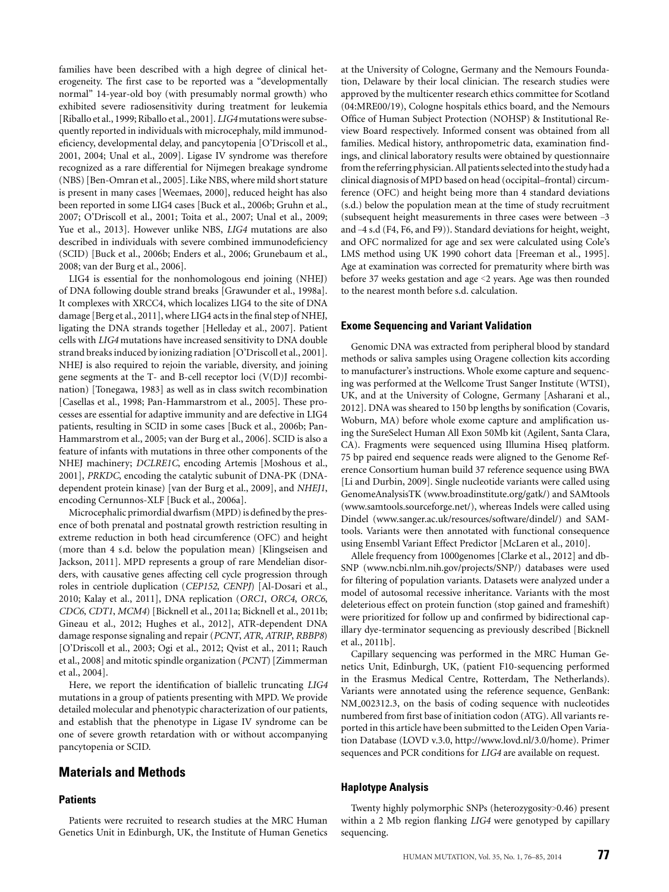families have been described with a high degree of clinical heterogeneity. The first case to be reported was a "developmentally normal" 14-year-old boy (with presumably normal growth) who exhibited severe radiosensitivity during treatment for leukemia [Riballo et al., 1999; Riballo et al., 2001]. *LIG4* mutations were subsequently reported in individuals with microcephaly, mild immunodeficiency, developmental delay, and pancytopenia [O'Driscoll et al., 2001, 2004; Unal et al., 2009]. Ligase IV syndrome was therefore recognized as a rare differential for Nijmegen breakage syndrome (NBS) [Ben-Omran et al., 2005]. Like NBS, where mild short stature is present in many cases [Weemaes, 2000], reduced height has also been reported in some LIG4 cases [Buck et al., 2006b; Gruhn et al., 2007; O'Driscoll et al., 2001; Toita et al., 2007; Unal et al., 2009; Yue et al., 2013]. However unlike NBS, *LIG4* mutations are also described in individuals with severe combined immunodeficiency (SCID) [Buck et al., 2006b; Enders et al., 2006; Grunebaum et al., 2008; van der Burg et al., 2006].

LIG4 is essential for the nonhomologous end joining (NHEJ) of DNA following double strand breaks [Grawunder et al., 1998a]. It complexes with XRCC4, which localizes LIG4 to the site of DNA damage [Berg et al., 2011], where LIG4 acts in the final step of NHEJ, ligating the DNA strands together [Helleday et al., 2007]. Patient cells with *LIG4* mutations have increased sensitivity to DNA double strand breaks induced by ionizing radiation [O'Driscoll et al., 2001]. NHEJ is also required to rejoin the variable, diversity, and joining gene segments at the T- and B-cell receptor loci (V(D)J recombination) [Tonegawa, 1983] as well as in class switch recombination [Casellas et al., 1998; Pan-Hammarstrom et al., 2005]. These processes are essential for adaptive immunity and are defective in LIG4 patients, resulting in SCID in some cases [Buck et al., 2006b; Pan-Hammarstrom et al., 2005; van der Burg et al., 2006]. SCID is also a feature of infants with mutations in three other components of the NHEJ machinery; *DCLRE1C*, encoding Artemis [Moshous et al., 2001], *PRKDC*, encoding the catalytic subunit of DNA-PK (DNAdependent protein kinase) [van der Burg et al., 2009], and *NHEJ1*, encoding Cernunnos-XLF [Buck et al., 2006a].

Microcephalic primordial dwarfism (MPD) is defined by the presence of both prenatal and postnatal growth restriction resulting in extreme reduction in both head circumference (OFC) and height (more than 4 s.d. below the population mean) [Klingseisen and Jackson, 2011]. MPD represents a group of rare Mendelian disorders, with causative genes affecting cell cycle progression through roles in centriole duplication (*CEP152*, *CENPJ*) [Al-Dosari et al., 2010; Kalay et al., 2011], DNA replication (*ORC1*, *ORC4*, *ORC6*, *CDC6*, *CDT1*, *MCM4*) [Bicknell et al., 2011a; Bicknell et al., 2011b; Gineau et al., 2012; Hughes et al., 2012], ATR-dependent DNA damage response signaling and repair (*PCNT*, *ATR*, *ATRIP*, *RBBP8*) [O'Driscoll et al., 2003; Ogi et al., 2012; Qvist et al., 2011; Rauch et al., 2008] and mitotic spindle organization (*PCNT*) [Zimmerman et al., 2004].

Here, we report the identification of biallelic truncating *LIG4* mutations in a group of patients presenting with MPD. We provide detailed molecular and phenotypic characterization of our patients, and establish that the phenotype in Ligase IV syndrome can be one of severe growth retardation with or without accompanying pancytopenia or SCID.

# **Materials and Methods**

#### **Patients**

Patients were recruited to research studies at the MRC Human Genetics Unit in Edinburgh, UK, the Institute of Human Genetics

at the University of Cologne, Germany and the Nemours Foundation, Delaware by their local clinician. The research studies were approved by the multicenter research ethics committee for Scotland (04:MRE00/19), Cologne hospitals ethics board, and the Nemours Office of Human Subject Protection (NOHSP) & Institutional Review Board respectively. Informed consent was obtained from all families. Medical history, anthropometric data, examination findings, and clinical laboratory results were obtained by questionnaire from the referring physician. All patients selected into the study had a clinical diagnosis of MPD based on head (occipital–frontal) circumference (OFC) and height being more than 4 standard deviations (s.d.) below the population mean at the time of study recruitment (subsequent height measurements in three cases were between –3 and –4 s.d (F4, F6, and F9)). Standard deviations for height, weight, and OFC normalized for age and sex were calculated using Cole's LMS method using UK 1990 cohort data [Freeman et al., 1995]. Age at examination was corrected for prematurity where birth was before 37 weeks gestation and age <2 years. Age was then rounded to the nearest month before s.d. calculation.

#### **Exome Sequencing and Variant Validation**

Genomic DNA was extracted from peripheral blood by standard methods or saliva samples using Oragene collection kits according to manufacturer's instructions. Whole exome capture and sequencing was performed at the Wellcome Trust Sanger Institute (WTSI), UK, and at the University of Cologne, Germany [Asharani et al., 2012]. DNA was sheared to 150 bp lengths by sonification (Covaris, Woburn, MA) before whole exome capture and amplification using the SureSelect Human All Exon 50Mb kit (Agilent, Santa Clara, CA). Fragments were sequenced using Illumina Hiseq platform. 75 bp paired end sequence reads were aligned to the Genome Reference Consortium human build 37 reference sequence using BWA [Li and Durbin, 2009]. Single nucleotide variants were called using GenomeAnalysisTK (www.broadinstitute.org/gatk/) and SAMtools (www.samtools.sourceforge.net/), whereas Indels were called using Dindel (www.sanger.ac.uk/resources/software/dindel/) and SAMtools. Variants were then annotated with functional consequence using Ensembl Variant Effect Predictor [McLaren et al., 2010].

Allele frequency from 1000genomes [Clarke et al., 2012] and db-SNP (www.ncbi.nlm.nih.gov/projects/SNP/) databases were used for filtering of population variants. Datasets were analyzed under a model of autosomal recessive inheritance. Variants with the most deleterious effect on protein function (stop gained and frameshift) were prioritized for follow up and confirmed by bidirectional capillary dye-terminator sequencing as previously described [Bicknell et al., 2011b].

Capillary sequencing was performed in the MRC Human Genetics Unit, Edinburgh, UK, (patient F10-sequencing performed in the Erasmus Medical Centre, Rotterdam, The Netherlands). Variants were annotated using the reference sequence, GenBank: NM 002312.3, on the basis of coding sequence with nucleotides numbered from first base of initiation codon (ATG). All variants reported in this article have been submitted to the Leiden Open Variation Database (LOVD v.3.0, http://www.lovd.nl/3.0/home). Primer sequences and PCR conditions for *LIG4* are available on request.

#### **Haplotype Analysis**

Twenty highly polymorphic SNPs (heterozygosity>0.46) present within a 2 Mb region flanking *LIG4* were genotyped by capillary sequencing.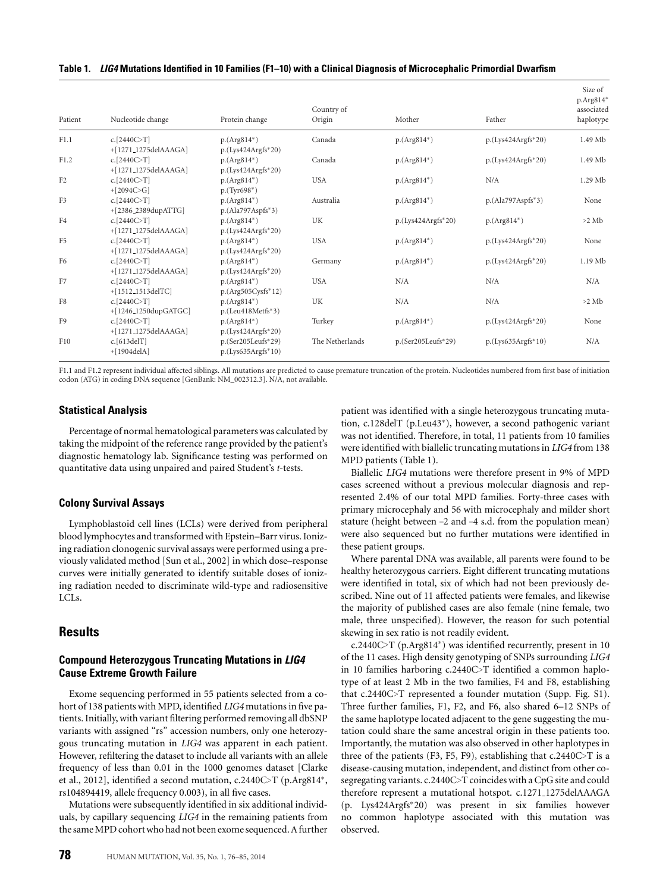#### **Table 1.** *LIG4* **Mutations Identified in 10 Families (F1–10) with a Clinical Diagnosis of Microcephalic Primordial Dwarfism**

| Patient        | Nucleotide change    | Protein change       | Country of<br>Origin | Mother               | Father               | Size of<br>p.Arg814*<br>associated<br>haplotype |
|----------------|----------------------|----------------------|----------------------|----------------------|----------------------|-------------------------------------------------|
| F1.1           | c. $[2440C>T]$       | $p.(Arg814*)$        | Canada               | $p.(Arg814*)$        | $p.(Lvs424Argfs*20)$ | 1.49 Mb                                         |
|                | +[1271_1275delAAAGA] | $p.(Lvs424Argfs*20)$ |                      |                      |                      |                                                 |
| F1.2           | c. $[2440C>T]$       | $p.(Arg814*)$        | Canada               | $p.(Arg814*)$        | $p.(Lys424Argfs*20)$ | 1.49 Mb                                         |
|                | +[1271_1275delAAAGA] | $p.(Lvs424Argfs*20)$ |                      |                      |                      |                                                 |
| F <sub>2</sub> | c. $[2440C>T]$       | $p.(Arg814*)$        | <b>USA</b>           | $p.(Arg814*)$        | N/A                  | 1.29 Mb                                         |
|                | $+[2094C>G]$         | $p.(Tvr698*)$        |                      |                      |                      |                                                 |
| F <sub>3</sub> | c. $[2440C>T]$       | $p.(Arg814*)$        | Australia            | $p.(Arg814*)$        | $p.(Ala797Aspfs*3)$  | None                                            |
|                | +[2386_2389dupATTG]  | $p.(Ala797Aspfs*3)$  |                      |                      |                      |                                                 |
| F4             | c. $[2440C>T]$       | $p.(Arg814*)$        | UK                   | $p.(Lys424Argfs*20)$ | $p.(Arg814*)$        | $>2$ Mb                                         |
|                | +[1271_1275delAAAGA] | $p.(Lys424Argfs*20)$ |                      |                      |                      |                                                 |
| F <sub>5</sub> | c. $[2440C>T]$       | $p.(Arg814*)$        | <b>USA</b>           | $p.(Arg814*)$        | $p.(Lys424Argfs*20)$ | None                                            |
|                | +[1271_1275delAAAGA] | $p.(Lys424Argfs*20)$ |                      |                      |                      |                                                 |
| F <sub>6</sub> | c. $[2440C>$ T]      | $p.(Arg814*)$        | Germany              | $p.(Arg814*)$        | $p.(Lys424Argfs*20)$ | 1.19Mb                                          |
|                | +[1271_1275delAAAGA] | $p.(Lvs424Argfs*20)$ |                      |                      |                      |                                                 |
| F7             | c. $[2440C>T]$       | $p.(Arg814*)$        | <b>USA</b>           | N/A                  | N/A                  | N/A                                             |
|                | +[1512_1513delTC]    | $p.(Arg505Cysfs*12)$ |                      |                      |                      |                                                 |
| F8             | c. $[2440C>T]$       | $p.(Arg814*)$        | UK                   | N/A                  | N/A                  | $>2$ Mb                                         |
|                | +[1246_1250dupGATGC] | p.(Leu418Metfs*3)    |                      |                      |                      |                                                 |
| F <sub>9</sub> | c. $[2440C>T]$       | $p.(Arg814*)$        | Turkey               | $p.(Arg814*)$        | $p.(Lys424Argfs*20)$ | None                                            |
|                | +[1271_1275delAAAGA] | $p.(Lvs424Argfs*20)$ |                      |                      |                      |                                                 |
| F10            | c.[613delT]          | p.(Ser205Leufs*29)   | The Netherlands      | $p.(Ser205Leufs*29)$ | $p.(Lys635Argfs*10)$ | N/A                                             |
|                | $+[1904delA]$        | $p.(Lys635Argfs*10)$ |                      |                      |                      |                                                 |

F1.1 and F1.2 represent individual affected siblings. All mutations are predicted to cause premature truncation of the protein. Nucleotides numbered from first base of initiation codon (ATG) in coding DNA sequence [GenBank: NM\_002312.3]. N/A, not available.

#### **Statistical Analysis**

Percentage of normal hematological parameters was calculated by taking the midpoint of the reference range provided by the patient's diagnostic hematology lab. Significance testing was performed on quantitative data using unpaired and paired Student's *t*-tests.

#### **Colony Survival Assays**

Lymphoblastoid cell lines (LCLs) were derived from peripheral blood lymphocytes and transformed with Epstein–Barr virus. Ionizing radiation clonogenic survival assays were performed using a previously validated method [Sun et al., 2002] in which dose–response curves were initially generated to identify suitable doses of ionizing radiation needed to discriminate wild-type and radiosensitive LCLs.

# **Results**

### **Compound Heterozygous Truncating Mutations in** *LIG4* **Cause Extreme Growth Failure**

Exome sequencing performed in 55 patients selected from a cohort of 138 patients with MPD, identified *LIG4* mutations in five patients. Initially, with variant filtering performed removing all dbSNP variants with assigned "rs" accession numbers, only one heterozygous truncating mutation in *LIG4* was apparent in each patient. However, refiltering the dataset to include all variants with an allele frequency of less than 0.01 in the 1000 genomes dataset [Clarke et al., 2012], identified a second mutation, c.2440C>T (p.Arg814∗, rs104894419, allele frequency 0.003), in all five cases.

Mutations were subsequently identified in six additional individuals, by capillary sequencing *LIG4* in the remaining patients from the sameMPD cohort who had not been exome sequenced. Afurther patient was identified with a single heterozygous truncating mutation, c.128delT (p.Leu43∗), however, a second pathogenic variant was not identified. Therefore, in total, 11 patients from 10 families were identified with biallelic truncating mutations in *LIG4* from 138 MPD patients (Table 1).

Biallelic *LIG4* mutations were therefore present in 9% of MPD cases screened without a previous molecular diagnosis and represented 2.4% of our total MPD families. Forty-three cases with primary microcephaly and 56 with microcephaly and milder short stature (height between –2 and –4 s.d. from the population mean) were also sequenced but no further mutations were identified in these patient groups.

Where parental DNA was available, all parents were found to be healthy heterozygous carriers. Eight different truncating mutations were identified in total, six of which had not been previously described. Nine out of 11 affected patients were females, and likewise the majority of published cases are also female (nine female, two male, three unspecified). However, the reason for such potential skewing in sex ratio is not readily evident.

c.2440C>T (p.Arg814∗) was identified recurrently, present in 10 of the 11 cases. High density genotyping of SNPs surrounding *LIG4* in 10 families harboring c.2440C>T identified a common haplotype of at least 2 Mb in the two families, F4 and F8, establishing that c.2440C>T represented a founder mutation (Supp. Fig. S1). Three further families, F1, F2, and F6, also shared 6–12 SNPs of the same haplotype located adjacent to the gene suggesting the mutation could share the same ancestral origin in these patients too. Importantly, the mutation was also observed in other haplotypes in three of the patients (F3, F5, F9), establishing that c.2440C>T is a disease-causing mutation, independent, and distinct from other cosegregating variants. c.2440C>T coincides with a CpG site and could therefore represent a mutational hotspot. c.1271 1275delAAAGA (p. Lys424Argfs∗20) was present in six families however no common haplotype associated with this mutation was observed.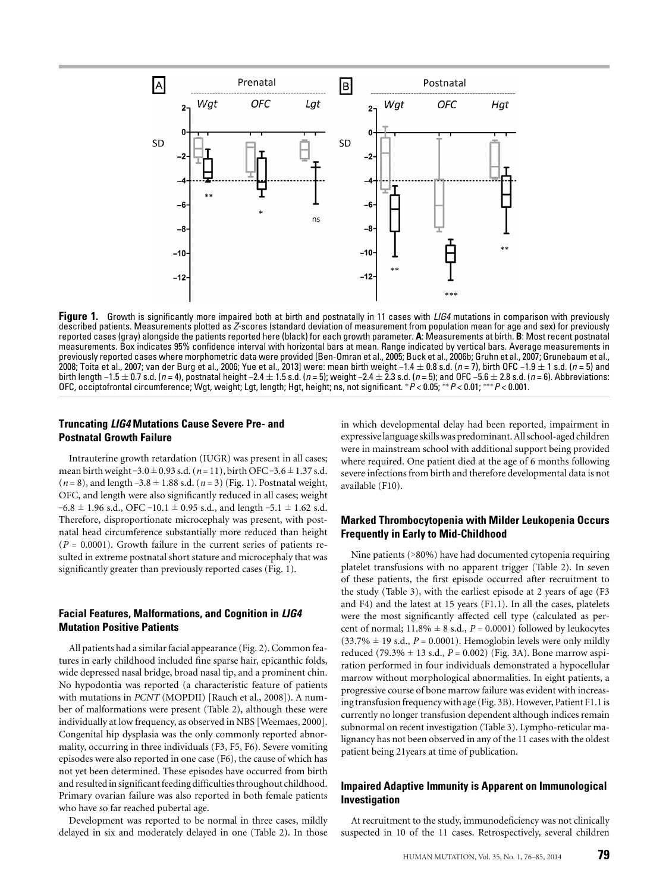

**Figure 1.** Growth is significantly more impaired both at birth and postnatally in 11 cases with *LIG4* mutations in comparison with previously described patients. Measurements plotted as *Z*-scores (standard deviation of measurement from population mean for age and sex) for previously reported cases (gray) alongside the patients reported here (black) for each growth parameter. **A**: Measurements at birth. **B**: Most recent postnatal measurements. Box indicates 95% confidence interval with horizontal bars at mean. Range indicated by vertical bars. Average measurements in previously reported cases where morphometric data were provided [Ben-Omran et al., 2005; Buck et al., 2006b; Gruhn et al., 2007; Grunebaum et al., 2008; Toita et al., 2007; van der Burg et al., 2006; Yue et al., 2013] were: mean birth weight −1.4 ± 0.8 s.d. (*n* = 7), birth OFC −1.9 ± 1 s.d. (*n* = 5) and birth length −1.5 ± 0.7 s.d. (*n* = 4), postnatal height −2.4 ± 1.5 s.d. (*n* = 5); weight −2.4 ± 2.3 s.d. (*n* = 5); and OFC −5.6 ± 2.8 s.d. (*n* = 6). Abbreviations: OFC, occiptofrontal circumference; Wgt, weight; Lgt, length; Hgt, height; ns, not significant. <sup>∗</sup>*P* < 0.05; ∗∗*P* < 0.01; ∗∗∗*P* < 0.001.

## **Truncating** *LIG4* **Mutations Cause Severe Pre- and Postnatal Growth Failure**

Intrauterine growth retardation (IUGR) was present in all cases; mean birth weight –3.0 ± 0.93 s.d. (*n* = 11), birth OFC–3.6 ± 1.37 s.d.  $(n = 8)$ , and length  $-3.8 \pm 1.88$  s.d.  $(n = 3)$  (Fig. 1). Postnatal weight, OFC, and length were also significantly reduced in all cases; weight  $-6.8 \pm 1.96$  s.d., OFC –10.1  $\pm$  0.95 s.d., and length –5.1  $\pm$  1.62 s.d. Therefore, disproportionate microcephaly was present, with postnatal head circumference substantially more reduced than height  $(P = 0.0001)$ . Growth failure in the current series of patients resulted in extreme postnatal short stature and microcephaly that was significantly greater than previously reported cases (Fig. 1).

# **Facial Features, Malformations, and Cognition in** *LIG4* **Mutation Positive Patients**

All patients had a similar facial appearance (Fig. 2). Common features in early childhood included fine sparse hair, epicanthic folds, wide depressed nasal bridge, broad nasal tip, and a prominent chin. No hypodontia was reported (a characteristic feature of patients with mutations in *PCNT* (MOPDII) [Rauch et al., 2008]). A number of malformations were present (Table 2), although these were individually at low frequency, as observed in NBS [Weemaes, 2000]. Congenital hip dysplasia was the only commonly reported abnormality, occurring in three individuals (F3, F5, F6). Severe vomiting episodes were also reported in one case (F6), the cause of which has not yet been determined. These episodes have occurred from birth and resulted in significant feeding difficulties throughout childhood. Primary ovarian failure was also reported in both female patients who have so far reached pubertal age.

Development was reported to be normal in three cases, mildly delayed in six and moderately delayed in one (Table 2). In those

in which developmental delay had been reported, impairment in expressive language skillswas predominant. All school-aged children were in mainstream school with additional support being provided where required. One patient died at the age of 6 months following severe infections from birth and therefore developmental data is not available (F10).

### **Marked Thrombocytopenia with Milder Leukopenia Occurs Frequently in Early to Mid-Childhood**

Nine patients (>80%) have had documented cytopenia requiring platelet transfusions with no apparent trigger (Table 2). In seven of these patients, the first episode occurred after recruitment to the study (Table 3), with the earliest episode at 2 years of age (F3 and F4) and the latest at 15 years (F1.1). In all the cases, platelets were the most significantly affected cell type (calculated as percent of normal;  $11.8\% \pm 8$  s.d.,  $P = 0.0001$ ) followed by leukocytes  $(33.7\% \pm 19 \text{ s.d.}, P = 0.0001)$ . Hemoglobin levels were only mildly reduced (79.3%  $\pm$  13 s.d., *P* = 0.002) (Fig. 3A). Bone marrow aspiration performed in four individuals demonstrated a hypocellular marrow without morphological abnormalities. In eight patients, a progressive course of bone marrow failure was evident with increasing transfusion frequency with age (Fig. 3B). However, Patient F1.1 is currently no longer transfusion dependent although indices remain subnormal on recent investigation (Table 3). Lympho-reticular malignancy has not been observed in any of the 11 cases with the oldest patient being 21years at time of publication.

# **Impaired Adaptive Immunity is Apparent on Immunological Investigation**

At recruitment to the study, immunodeficiency was not clinically suspected in 10 of the 11 cases. Retrospectively, several children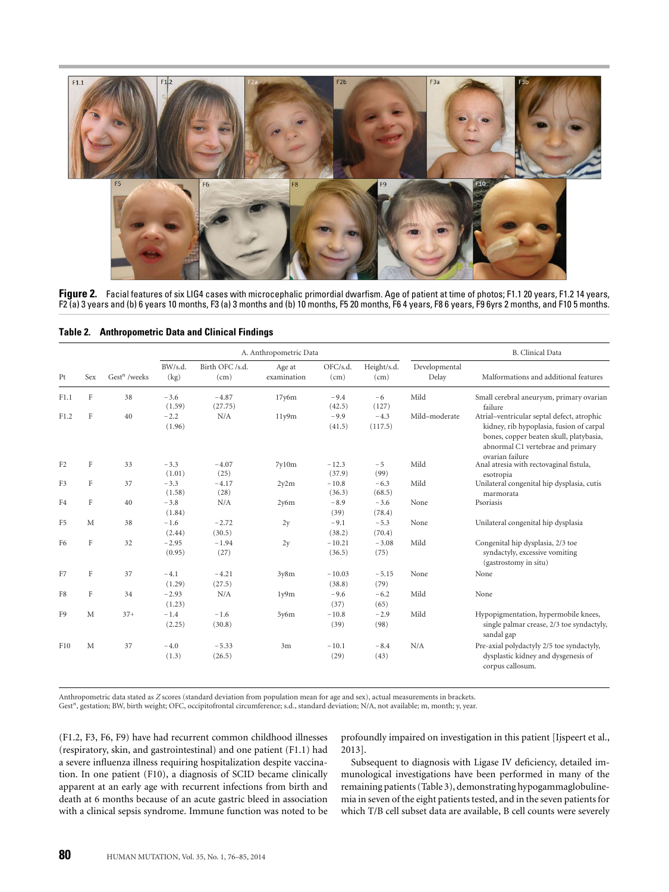

**Figure 2.** Facial features of six LIG4 cases with microcephalic primordial dwarfism. Age of patient at time of photos; F1.1 20 years, F1.2 14 years, F2 (a) 3 years and (b) 6 years 10 months, F3 (a) 3 months and (b) 10 months, F5 20 months, F6 4 years, F8 6 years, F9 6yrs 2 months, and F10 5 months.

|                |         |                          |                   |                         | A. Anthropometric Data |                    |                     |                        | <b>B.</b> Clinical Data                                                                                                                                                                   |
|----------------|---------|--------------------------|-------------------|-------------------------|------------------------|--------------------|---------------------|------------------------|-------------------------------------------------------------------------------------------------------------------------------------------------------------------------------------------|
| Pt             | Sex     | Gest <sup>n</sup> /weeks | BW/s.d.<br>(kg)   | Birth OFC /s.d.<br>(cm) | Age at<br>examination  | OFC/s.d.<br>(cm)   | Height/s.d.<br>(cm) | Developmental<br>Delay | Malformations and additional features                                                                                                                                                     |
| F1.1           | F       | 38                       | $-3.6$<br>(1.59)  | $-4.87$<br>(27.75)      | 17y6m                  | $-9.4$<br>(42.5)   | $-6$<br>(127)       | Mild                   | Small cerebral aneurysm, primary ovarian<br>failure                                                                                                                                       |
| F1.2           | F       | 40                       | $-2.2$<br>(1.96)  | N/A                     | 11y9m                  | $-9.9$<br>(41.5)   | $-4.3$<br>(117.5)   | Mild-moderate          | Atrial-ventricular septal defect, atrophic<br>kidney, rib hypoplasia, fusion of carpal<br>bones, copper beaten skull, platybasia,<br>abnormal C1 vertebrae and primary<br>ovarian failure |
| F <sub>2</sub> | $\rm F$ | 33                       | $-3.3$<br>(1.01)  | $-4.07$<br>(25)         | 7v10m                  | $-12.3$<br>(37.9)  | $-5$<br>(99)        | Mild                   | Anal atresia with rectovaginal fistula,<br>esotropia                                                                                                                                      |
| F3             | F       | 37                       | $-3.3$<br>(1.58)  | $-4.17$<br>(28)         | 2y2m                   | $-10.8$<br>(36.3)  | $-6.3$<br>(68.5)    | Mild                   | Unilateral congenital hip dysplasia, cutis<br>marmorata                                                                                                                                   |
| F4             | F       | 40                       | $-3.8$<br>(1.84)  | N/A                     | 2y6m                   | $-8.9$<br>(39)     | $-3.6$<br>(78.4)    | None                   | Psoriasis                                                                                                                                                                                 |
| F <sub>5</sub> | M       | 38                       | $-1.6$<br>(2.44)  | $-2.72$<br>(30.5)       | 2y                     | $-9.1$<br>(38.2)   | $-5.3$<br>(70.4)    | None                   | Unilateral congenital hip dysplasia                                                                                                                                                       |
| F <sub>6</sub> | $\rm F$ | 32                       | $-2.95$<br>(0.95) | $-1.94$<br>(27)         | 2y                     | $-10.21$<br>(36.5) | $-3.08$<br>(75)     | Mild                   | Congenital hip dysplasia, 2/3 toe<br>syndactyly, excessive vomiting<br>(gastrostomy in situ)                                                                                              |
| F7             | F       | 37                       | $-4.1$<br>(1.29)  | $-4.21$<br>(27.5)       | 3y8m                   | $-10.03$<br>(38.8) | $-5.15$<br>(79)     | None                   | None                                                                                                                                                                                      |
| F8             | F       | 34                       | $-2.93$<br>(1.23) | N/A                     | 1y9m                   | $-9.6$<br>(37)     | $-6.2$<br>(65)      | Mild                   | None                                                                                                                                                                                      |
| F <sub>9</sub> | M       | $37+$                    | $-1.4$<br>(2.25)  | $-1.6$<br>(30.8)        | 5y6m                   | $-10.8$<br>(39)    | $-2.9$<br>(98)      | Mild                   | Hypopigmentation, hypermobile knees,<br>single palmar crease, 2/3 toe syndactyly,<br>sandal gap                                                                                           |
| F10            | M       | 37                       | $-4.0$<br>(1.3)   | $-5.33$<br>(26.5)       | 3m                     | $-10.1$<br>(29)    | $-8.4$<br>(43)      | N/A                    | Pre-axial polydactyly 2/5 toe syndactyly,<br>dysplastic kidney and dysgenesis of<br>corpus callosum.                                                                                      |

**Table 2. Anthropometric Data and Clinical Findings**

Anthropometric data stated as Z scores (standard deviation from population mean for age and sex), actual measurements in brackets.<br>Gest″, gestation; BW, birth weight; OFC, occipitofrontal circumference; s.d., standard devi

(F1.2, F3, F6, F9) have had recurrent common childhood illnesses (respiratory, skin, and gastrointestinal) and one patient (F1.1) had a severe influenza illness requiring hospitalization despite vaccination. In one patient (F10), a diagnosis of SCID became clinically apparent at an early age with recurrent infections from birth and death at 6 months because of an acute gastric bleed in association with a clinical sepsis syndrome. Immune function was noted to be

profoundly impaired on investigation in this patient [Ijspeert et al., 2013].

Subsequent to diagnosis with Ligase IV deficiency, detailed immunological investigations have been performed in many of the remaining patients (Table 3), demonstrating hypogammaglobulinemia in seven of the eight patients tested, and in the seven patients for which T/B cell subset data are available, B cell counts were severely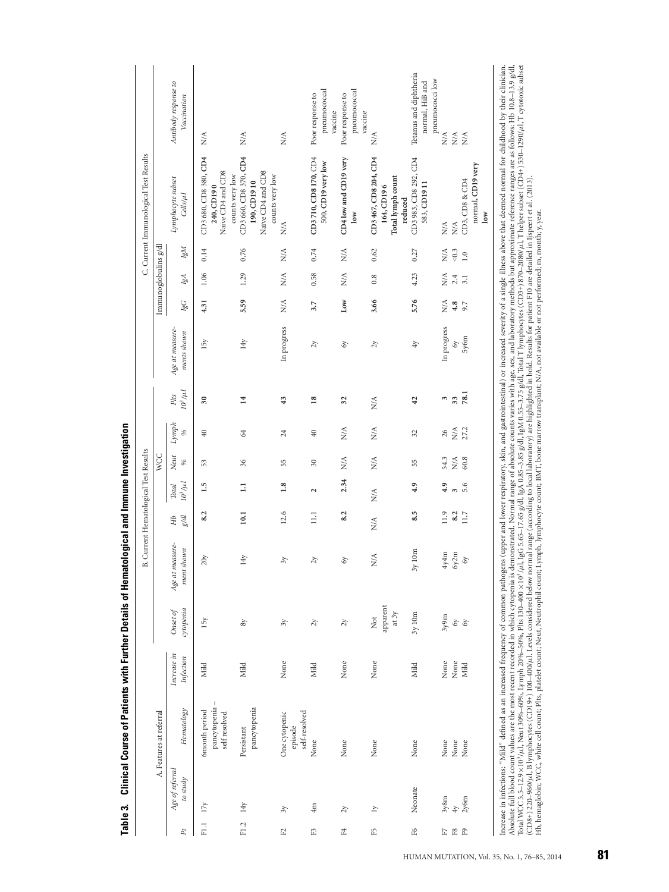| 14y<br>$17y$<br>$\gamma$<br>F1.2<br>$\Xi$<br>E<br>$P_t$ | Age of referral | A. Features at referral                                                                                                                                                                                                                                                                                                                                                                                                                                                                                                        |                          |                                |                                  |                                 |                                          |                                                          |                                                |                      |                                |                         |                         |                             |                                                                                                                                                                                                                                                                                                                                                                                                                                                                                                                                                                                                                                 |                                                              |
|---------------------------------------------------------|-----------------|--------------------------------------------------------------------------------------------------------------------------------------------------------------------------------------------------------------------------------------------------------------------------------------------------------------------------------------------------------------------------------------------------------------------------------------------------------------------------------------------------------------------------------|--------------------------|--------------------------------|----------------------------------|---------------------------------|------------------------------------------|----------------------------------------------------------|------------------------------------------------|----------------------|--------------------------------|-------------------------|-------------------------|-----------------------------|---------------------------------------------------------------------------------------------------------------------------------------------------------------------------------------------------------------------------------------------------------------------------------------------------------------------------------------------------------------------------------------------------------------------------------------------------------------------------------------------------------------------------------------------------------------------------------------------------------------------------------|--------------------------------------------------------------|
|                                                         |                 |                                                                                                                                                                                                                                                                                                                                                                                                                                                                                                                                |                          |                                |                                  |                                 |                                          | <b>WCC</b>                                               |                                                |                      |                                |                         | Immunoglobulins g/dl    |                             |                                                                                                                                                                                                                                                                                                                                                                                                                                                                                                                                                                                                                                 |                                                              |
|                                                         | to study        | Hematology                                                                                                                                                                                                                                                                                                                                                                                                                                                                                                                     | Increase in<br>Infection | cytopenia<br>Onset of          | Age at measure-<br>ment shown    | $\mathcal{B}\mathcal{A}$<br>HЪ  | $10^3/\mu l$<br><b>Total</b>             | Neut<br>$\%$                                             | Lymph<br>$\%$                                  | $10^3/\mu l$<br>Plts | Age at measure-<br>ments shown | IgG                     | IgA                     | IgM                         | Lymphocyte subset<br>Cells/µl                                                                                                                                                                                                                                                                                                                                                                                                                                                                                                                                                                                                   | Antibody response to<br>Vaccination                          |
|                                                         |                 | pancytopenia-<br>6month period<br>self resolved                                                                                                                                                                                                                                                                                                                                                                                                                                                                                | Mild                     | 15y                            | 20y                              | 8.2                             | 1.5                                      | 53                                                       | 40                                             | $30\,$               | 15y                            | 4.31                    | 1.06                    | 0.14                        | CD3 680, CD8 380, CD4<br>Naïve CD4 and CD8<br>counts very low<br>240, CD190                                                                                                                                                                                                                                                                                                                                                                                                                                                                                                                                                     | ₹                                                            |
|                                                         |                 | pancytopenia<br>Persistant                                                                                                                                                                                                                                                                                                                                                                                                                                                                                                     | Mild                     | $8\,$                          | 14y                              | 10.1                            | $\Xi$                                    | $36$                                                     | 64                                             | $\overline{14}$      | 14y                            | 5.59                    | 1.29                    | 0.76                        | CD3 660, CD8 370, CD4<br>Naïve CD4 and CD8<br>counts very low<br>190, CD1910                                                                                                                                                                                                                                                                                                                                                                                                                                                                                                                                                    | $\stackrel{\triangle}{\geq}$                                 |
|                                                         |                 | self-resolved<br>One cytopenic<br>episode                                                                                                                                                                                                                                                                                                                                                                                                                                                                                      | None                     | $\gamma$                       | $\tilde{\kappa}$                 | 12.6                            | 1.8                                      | 55                                                       | 24                                             | 43                   | In progress                    | $\sum_{i=1}^{n}$        | $\sum_{i=1}^{n}$        | $\sum_{i=1}^{n}$            | $\sum_{i=1}^{n}$                                                                                                                                                                                                                                                                                                                                                                                                                                                                                                                                                                                                                | $\stackrel{\triangle}{\geq}$                                 |
| 4m<br>$\mathbb{E}$                                      |                 | None                                                                                                                                                                                                                                                                                                                                                                                                                                                                                                                           | Mild                     | $2\gamma$                      | $\zeta$                          | $\Xi$                           | $\overline{\mathbf{c}}$                  | $\approx$                                                | 40                                             | $\overline{18}$      | 2y                             | 3.7                     | 0.58                    | 0.74                        | CD3 710, CD8 170, CD4<br>500, CD19 very low                                                                                                                                                                                                                                                                                                                                                                                                                                                                                                                                                                                     | pneumococcal<br>Poor response to<br>vaccine                  |
| $\zeta$<br>F4                                           |                 | None                                                                                                                                                                                                                                                                                                                                                                                                                                                                                                                           | None                     | $2\gamma$                      | δY                               | 8.2                             | 2.34                                     | $\stackrel{\triangle}{\scriptstyle\sim}$                 | NA.                                            | 32                   | 6y                             | $_{\rm Low}$            | $\sum_{i=1}^{n}$        | $\sum_{i=1}^{n}$            | CD4 low and CD19 very<br>10W                                                                                                                                                                                                                                                                                                                                                                                                                                                                                                                                                                                                    | pneumococcal<br>Poor response to<br>vaccine                  |
| $\overline{1}$<br>E5                                    |                 | None                                                                                                                                                                                                                                                                                                                                                                                                                                                                                                                           | None                     | apparent<br>at 3y<br>$\rm Not$ | $\frac{4}{2}$                    | $\stackrel{\triangle}{\approx}$ | $\stackrel{\triangle}{\scriptstyle\sim}$ | $\stackrel{\triangle}{\scriptstyle\sim}$                 | $\stackrel{\triangle}{\geq}$                   | $\frac{1}{2}$        | 2y                             | 3.66                    | 0.8                     | 0.62                        | CD3 467, CD8 204, CD4<br>Total lymph count<br>164, CD196<br>reduced                                                                                                                                                                                                                                                                                                                                                                                                                                                                                                                                                             | <b>N/A</b>                                                   |
| Ε6                                                      | Neonate         | None                                                                                                                                                                                                                                                                                                                                                                                                                                                                                                                           | Mild                     | 3y10m                          | 10 <sub>m</sub><br>$\mathcal{S}$ | 8.5                             | 4.9                                      | 55                                                       | 32                                             | 42                   | $4y$                           | 5.76                    | 4.23                    | 0.27                        | CD3 983, CD8 292, CD4<br>583, CD1911                                                                                                                                                                                                                                                                                                                                                                                                                                                                                                                                                                                            | Tetanus and diphtheria<br>pneumococci low<br>normal, HiB and |
| $\mathbb{F}7$ &                                         | 3y8m            | None<br>None                                                                                                                                                                                                                                                                                                                                                                                                                                                                                                                   | None<br>$\rm None$       | 3y9m                           | 4y4m<br>6y2m                     | 11.9<br>8.2                     | 4.9<br>$\epsilon$                        | 54.3<br>$\stackrel{\scriptstyle <}{\scriptstyle \times}$ | $\stackrel{\triangle}{\scriptstyle\sim}$<br>26 | 3                    | In progress<br>6y              | $\sum_{i=1}^{n}$<br>4.8 | $\sum_{i=1}^{n}$<br>2.4 | $< 0.3$<br>$\sum_{i=1}^{n}$ | $\sum_{i=1}^{n}$<br>$\sum_{i=1}^{n}$                                                                                                                                                                                                                                                                                                                                                                                                                                                                                                                                                                                            | $\stackrel{\triangle}{\geq}$<br>$\stackrel{\triangle}{\geq}$ |
| 4y<br>£9                                                | 2y6m            | None                                                                                                                                                                                                                                                                                                                                                                                                                                                                                                                           | Mild                     | 6y                             | 6y                               | 11.7                            | 5.6                                      | 60.8                                                     | 27.2                                           | $\frac{33}{78.1}$    | 5y6m                           | 9.7                     | 3.1                     | $1.0$                       | normal, CD19 very<br>CD3, CD8 & CD4<br>$_{\rm low}$                                                                                                                                                                                                                                                                                                                                                                                                                                                                                                                                                                             | $\stackrel{\triangle}{\geq}$                                 |
|                                                         |                 | (CD8+) 220–960/µl, B lymphocytes (CD19+) 100–400/µl. Levels considered below normal range (according to local laboratory) are highlighted in bold. Results for patient F10 are detailed in Iypeert et al. (2013).<br>Hb, hemaglobin; WCC, white cell count; Plts, platelet count; Neut, Neutrophil count; Lymphocyte count; BMT, bone marrow transplant; N/A, not available or not performed; m, month; y, year.<br>Total WCC 5.5-12.9 × 10 <sup>3</sup> /µl, Neut 30%-60%, Lymph 20%-50%, Plts 130-400 × 10 <sup>3</sup> /µl, |                          |                                |                                  |                                 |                                          |                                                          |                                                |                      |                                |                         |                         |                             | Absolute full blood count values are the most recent recorded in which cytopenia is demonstrated. Normal range of absolute counts varies with age, sex, and laboratory methods but approximate reference ranges are as follows<br>IgG 5.65–17.65 g/dl, IgA 0.85–3.85 g/dl, IgM 0.55–3.75 g/dl, Total T lymphocytes (CD3+) 870–2080/µl, T helper subset (CD4+) 530–1290/µl, T cytotoxic subset<br>Increase in infections: "Mild" defined as an increased frequency of common pathogens (upper and lower respiratory, skin, and gastrointestinal) or increased severity of a single illness above that deemed normal for childhoo |                                                              |

Table 3. Clinical Course of Patients with Further Details of Hematological and Immune Investigation Table 3. Clinical Course of Patients with Further Details of Hematological and Immune Investigation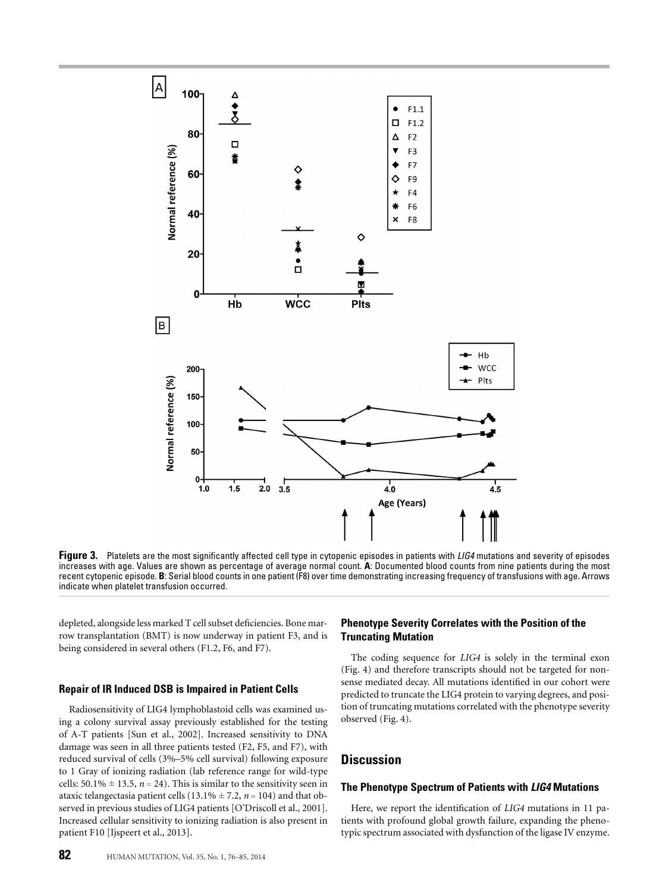

**Figure 3.** Platelets are the most significantly affected cell type in cytopenic episodes in patients with *LIG4* mutations and severity of episodes increases with age. Values are shown as percentage of average normal count. **A**: Documented blood counts from nine patients during the most recent cytopenic episode. **B**: Serial blood counts in one patient (F8) over time demonstrating increasing frequency of transfusions with age. Arrows indicate when platelet transfusion occurred.

depleted, alongside less marked T cell subset deficiencies. Bone marrow transplantation (BMT) is now underway in patient F3, and is being considered in several others (F1.2, F6, and F7).

#### **Repair of IR Induced DSB is Impaired in Patient Cells**

Radiosensitivity of LIG4 lymphoblastoid cells was examined using a colony survival assay previously established for the testing of A-T patients [Sun et al., 2002]. Increased sensitivity to DNA damage was seen in all three patients tested (F2, F5, and F7), with reduced survival of cells (3%–5% cell survival) following exposure to 1 Gray of ionizing radiation (lab reference range for wild-type cells:  $50.1\% \pm 13.5$ ,  $n = 24$ ). This is similar to the sensitivity seen in ataxic telangectasia patient cells  $(13.1\% \pm 7.2, n = 104)$  and that observed in previous studies of LIG4 patients [O'Driscoll et al., 2001]. Increased cellular sensitivity to ionizing radiation is also present in patient F10 [Ijspeert et al., 2013].

#### **Phenotype Severity Correlates with the Position of the Truncating Mutation**

The coding sequence for *LIG4* is solely in the terminal exon (Fig. 4) and therefore transcripts should not be targeted for nonsense mediated decay. All mutations identified in our cohort were predicted to truncate the LIG4 protein to varying degrees, and position of truncating mutations correlated with the phenotype severity observed (Fig. 4).

# **Discussion**

#### **The Phenotype Spectrum of Patients with** *LIG4* **Mutations**

Here, we report the identification of *LIG4* mutations in 11 patients with profound global growth failure, expanding the phenotypic spectrum associated with dysfunction of the ligase IV enzyme.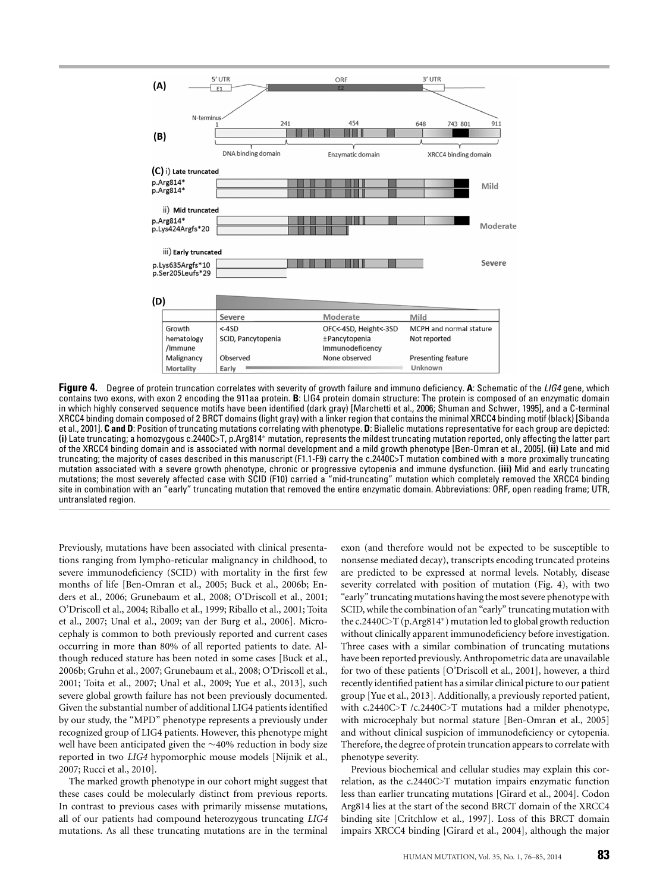

**Figure 4.** Degree of protein truncation correlates with severity of growth failure and immuno deficiency. **A**: Schematic of the *LIG4* gene, which contains two exons, with exon 2 encoding the 911aa protein. **B**: LIG4 protein domain structure: The protein is composed of an enzymatic domain in which highly conserved sequence motifs have been identified (dark gray) [Marchetti et al., 2006; Shuman and Schwer, 1995], and a C-terminal XRCC4 binding domain composed of 2 BRCT domains (light gray) with a linker region that contains the minimal XRCC4 binding motif (black) [Sibanda et al., 2001]. **C and D**: Position of truncating mutations correlating with phenotype. **D**: Biallelic mutations representative for each group are depicted: **(i)** Late truncating; a homozygous c.2440C>T, p.Arg814<sup>∗</sup> mutation, represents the mildest truncating mutation reported, only affecting the latter part of the XRCC4 binding domain and is associated with normal development and a mild growth phenotype [Ben-Omran et al., 2005]. **(ii)** Late and mid truncating; the majority of cases described in this manuscript (F1.1-F9) carry the c.2440C>T mutation combined with a more proximally truncating mutation associated with a severe growth phenotype, chronic or progressive cytopenia and immune dysfunction. **(iii)** Mid and early truncating mutations; the most severely affected case with SCID (F10) carried a "mid-truncating" mutation which completely removed the XRCC4 binding site in combination with an "early" truncating mutation that removed the entire enzymatic domain. Abbreviations: ORF, open reading frame; UTR, untranslated region.

Previously, mutations have been associated with clinical presentations ranging from lympho-reticular malignancy in childhood, to severe immunodeficiency (SCID) with mortality in the first few months of life [Ben-Omran et al., 2005; Buck et al., 2006b; Enders et al., 2006; Grunebaum et al., 2008; O'Driscoll et al., 2001; O'Driscoll et al., 2004; Riballo et al., 1999; Riballo et al., 2001; Toita et al., 2007; Unal et al., 2009; van der Burg et al., 2006]. Microcephaly is common to both previously reported and current cases occurring in more than 80% of all reported patients to date. Although reduced stature has been noted in some cases [Buck et al., 2006b; Gruhn et al., 2007; Grunebaum et al., 2008; O'Driscoll et al., 2001; Toita et al., 2007; Unal et al., 2009; Yue et al., 2013], such severe global growth failure has not been previously documented. Given the substantial number of additional LIG4 patients identified by our study, the "MPD" phenotype represents a previously under recognized group of LIG4 patients. However, this phenotype might well have been anticipated given the ∼40% reduction in body size reported in two *LIG4* hypomorphic mouse models [Nijnik et al., 2007; Rucci et al., 2010].

The marked growth phenotype in our cohort might suggest that these cases could be molecularly distinct from previous reports. In contrast to previous cases with primarily missense mutations, all of our patients had compound heterozygous truncating *LIG4* mutations. As all these truncating mutations are in the terminal

exon (and therefore would not be expected to be susceptible to nonsense mediated decay), transcripts encoding truncated proteins are predicted to be expressed at normal levels. Notably, disease severity correlated with position of mutation (Fig. 4), with two "early" truncating mutations having the most severe phenotype with SCID, while the combination of an "early" truncating mutation with the c.2440C>T (p.Arg814∗) mutation led to global growth reduction without clinically apparent immunodeficiency before investigation. Three cases with a similar combination of truncating mutations have been reported previously. Anthropometric data are unavailable for two of these patients [O'Driscoll et al., 2001], however, a third recently identified patient has a similar clinical picture to our patient group [Yue et al., 2013]. Additionally, a previously reported patient, with c.2440C>T /c.2440C>T mutations had a milder phenotype, with microcephaly but normal stature [Ben-Omran et al., 2005] and without clinical suspicion of immunodeficiency or cytopenia. Therefore, the degree of protein truncation appears to correlate with phenotype severity.

Previous biochemical and cellular studies may explain this correlation, as the c.2440C>T mutation impairs enzymatic function less than earlier truncating mutations [Girard et al., 2004]. Codon Arg814 lies at the start of the second BRCT domain of the XRCC4 binding site [Critchlow et al., 1997]. Loss of this BRCT domain impairs XRCC4 binding [Girard et al., 2004], although the major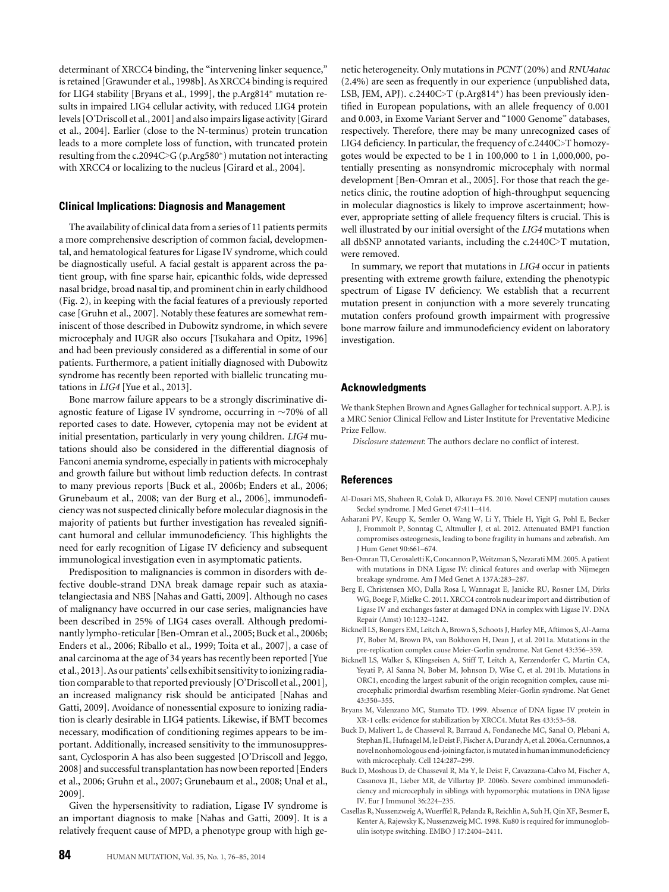determinant of XRCC4 binding, the "intervening linker sequence," is retained [Grawunder et al., 1998b]. As XRCC4 binding is required for LIG4 stability [Bryans et al., 1999], the p.Arg814<sup>∗</sup> mutation results in impaired LIG4 cellular activity, with reduced LIG4 protein levels [O'Driscoll et al., 2001] and also impairs ligase activity [Girard et al., 2004]. Earlier (close to the N-terminus) protein truncation leads to a more complete loss of function, with truncated protein resulting from the c.2094C>G (p.Arg580∗) mutation not interacting with XRCC4 or localizing to the nucleus [Girard et al., 2004].

#### **Clinical Implications: Diagnosis and Management**

The availability of clinical data from a series of 11 patients permits a more comprehensive description of common facial, developmental, and hematological features for Ligase IV syndrome, which could be diagnostically useful. A facial gestalt is apparent across the patient group, with fine sparse hair, epicanthic folds, wide depressed nasal bridge, broad nasal tip, and prominent chin in early childhood (Fig. 2), in keeping with the facial features of a previously reported case [Gruhn et al., 2007]. Notably these features are somewhat reminiscent of those described in Dubowitz syndrome, in which severe microcephaly and IUGR also occurs [Tsukahara and Opitz, 1996] and had been previously considered as a differential in some of our patients. Furthermore, a patient initially diagnosed with Dubowitz syndrome has recently been reported with biallelic truncating mutations in *LIG4* [Yue et al., 2013].

Bone marrow failure appears to be a strongly discriminative diagnostic feature of Ligase IV syndrome, occurring in ∼70% of all reported cases to date. However, cytopenia may not be evident at initial presentation, particularly in very young children. *LIG4* mutations should also be considered in the differential diagnosis of Fanconi anemia syndrome, especially in patients with microcephaly and growth failure but without limb reduction defects. In contrast to many previous reports [Buck et al., 2006b; Enders et al., 2006; Grunebaum et al., 2008; van der Burg et al., 2006], immunodeficiency was not suspected clinically before molecular diagnosis in the majority of patients but further investigation has revealed significant humoral and cellular immunodeficiency. This highlights the need for early recognition of Ligase IV deficiency and subsequent immunological investigation even in asymptomatic patients.

Predisposition to malignancies is common in disorders with defective double-strand DNA break damage repair such as ataxiatelangiectasia and NBS [Nahas and Gatti, 2009]. Although no cases of malignancy have occurred in our case series, malignancies have been described in 25% of LIG4 cases overall. Although predominantly lympho-reticular [Ben-Omran et al., 2005; Buck et al., 2006b; Enders et al., 2006; Riballo et al., 1999; Toita et al., 2007], a case of anal carcinoma at the age of 34 years has recently been reported [Yue et al., 2013]. As our patients' cells exhibit sensitivity to ionizing radiation comparable to that reported previously [O'Driscoll et al., 2001], an increased malignancy risk should be anticipated [Nahas and Gatti, 2009]. Avoidance of nonessential exposure to ionizing radiation is clearly desirable in LIG4 patients. Likewise, if BMT becomes necessary, modification of conditioning regimes appears to be important. Additionally, increased sensitivity to the immunosuppressant, Cyclosporin A has also been suggested [O'Driscoll and Jeggo, 2008] and successful transplantation has now been reported [Enders et al., 2006; Gruhn et al., 2007; Grunebaum et al., 2008; Unal et al., 2009].

Given the hypersensitivity to radiation, Ligase IV syndrome is an important diagnosis to make [Nahas and Gatti, 2009]. It is a relatively frequent cause of MPD, a phenotype group with high genetic heterogeneity. Only mutations in *PCNT* (20%) and *RNU4atac* (2.4%) are seen as frequently in our experience (unpublished data, LSB, JEM, APJ). c.2440C>T (p.Arg814∗) has been previously identified in European populations, with an allele frequency of 0.001 and 0.003, in Exome Variant Server and "1000 Genome" databases, respectively. Therefore, there may be many unrecognized cases of LIG4 deficiency. In particular, the frequency of c.2440C>T homozygotes would be expected to be 1 in 100,000 to 1 in 1,000,000, potentially presenting as nonsyndromic microcephaly with normal development [Ben-Omran et al., 2005]. For those that reach the genetics clinic, the routine adoption of high-throughput sequencing in molecular diagnostics is likely to improve ascertainment; however, appropriate setting of allele frequency filters is crucial. This is well illustrated by our initial oversight of the *LIG4* mutations when all dbSNP annotated variants, including the c.2440C>T mutation, were removed.

In summary, we report that mutations in *LIG4* occur in patients presenting with extreme growth failure, extending the phenotypic spectrum of Ligase IV deficiency. We establish that a recurrent mutation present in conjunction with a more severely truncating mutation confers profound growth impairment with progressive bone marrow failure and immunodeficiency evident on laboratory investigation.

#### **Acknowledgments**

We thank Stephen Brown and Agnes Gallagher for technical support. A.P.J. is a MRC Senior Clinical Fellow and Lister Institute for Preventative Medicine Prize Fellow.

*Disclosure statement*: The authors declare no conflict of interest.

#### **References**

- Al-Dosari MS, Shaheen R, Colak D, Alkuraya FS. 2010. Novel CENPJ mutation causes Seckel syndrome. J Med Genet 47:411–414.
- Asharani PV, Keupp K, Semler O, Wang W, Li Y, Thiele H, Yigit G, Pohl E, Becker J, Frommolt P, Sonntag C, Altmuller J, et al. 2012. Attenuated BMP1 function compromises osteogenesis, leading to bone fragility in humans and zebrafish. Am J Hum Genet 90:661–674.
- Ben-Omran TI, Cerosaletti K, Concannon P, Weitzman S, Nezarati MM. 2005. A patient with mutations in DNA Ligase IV: clinical features and overlap with Nijmegen breakage syndrome. Am J Med Genet A 137A:283–287.
- Berg E, Christensen MO, Dalla Rosa I, Wannagat E, Janicke RU, Rosner LM, Dirks WG, Boege F, Mielke C. 2011. XRCC4 controls nuclear import and distribution of Ligase IV and exchanges faster at damaged DNA in complex with Ligase IV. DNA Repair (Amst) 10:1232–1242.
- Bicknell LS, Bongers EM, Leitch A, Brown S, Schoots J, Harley ME, Aftimos S, Al-Aama JY, Bober M, Brown PA, van Bokhoven H, Dean J, et al. 2011a. Mutations in the pre-replication complex cause Meier-Gorlin syndrome. Nat Genet 43:356–359.
- Bicknell LS, Walker S, Klingseisen A, Stiff T, Leitch A, Kerzendorfer C, Martin CA, Yeyati P, Al Sanna N, Bober M, Johnson D, Wise C, et al. 2011b. Mutations in ORC1, encoding the largest subunit of the origin recognition complex, cause microcephalic primordial dwarfism resembling Meier-Gorlin syndrome. Nat Genet 43:350–355.
- Bryans M, Valenzano MC, Stamato TD. 1999. Absence of DNA ligase IV protein in XR-1 cells: evidence for stabilization by XRCC4. Mutat Res 433:53–58.
- Buck D, Malivert L, de Chasseval R, Barraud A, Fondaneche MC, Sanal O, Plebani A, Stephan JL, HufnagelM, le Deist F, Fischer A, Durandy A, et al. 2006a. Cernunnos, a novel nonhomologous end-joiningfactor, ismutated in human immunodeficiency with microcephaly. Cell 124:287–299.
- Buck D, Moshous D, de Chasseval R, Ma Y, le Deist F, Cavazzana-Calvo M, Fischer A, Casanova JL, Lieber MR, de Villartay JP. 2006b. Severe combined immunodeficiency and microcephaly in siblings with hypomorphic mutations in DNA ligase IV. Eur J Immunol 36:224–235.
- Casellas R, Nussenzweig A, Wuerffel R, Pelanda R, Reichlin A, Suh H, Qin XF, Besmer E, Kenter A, Rajewsky K, Nussenzweig MC. 1998. Ku80 is required for immunoglobulin isotype switching. EMBO J 17:2404–2411.